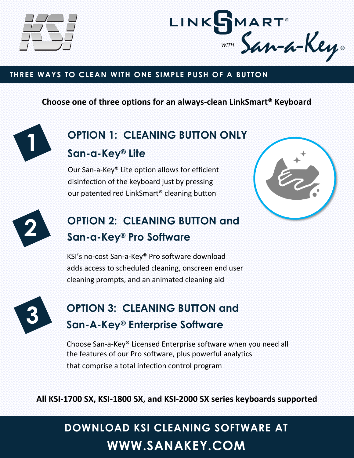



### **THREE WAYS TO CLEAN WITH ONE SIMPLE PUSH OF A BUTTON**

### **Choose one of three options for an always-clean LinkSmart® Keyboard**



# **OPTION 1: CLEANING BUTTON ONLY**

**San-a-Key® Lite**

Our San-a-Key® Lite option allows for efficient disinfection of the keyboard just by pressing our patented red LinkSmart® cleaning button





# **OPTION 2: CLEANING BUTTON and San-a-Key® Pro Software**

KSI's no-cost San-a-Key® Pro software download adds access to scheduled cleaning, onscreen end user cleaning prompts, and an animated cleaning aid



## **OPTION 3: CLEANING BUTTON and San-A-Key® Enterprise Software**

Choose San-a-Key® Licensed Enterprise software when you need all the features of our Pro software, plus powerful analytics that comprise a total infection control program

**All KSI-1700 SX, KSI-1800 SX, and KSI-2000 SX series keyboards supported**

# **DOWNLOAD KSI CLEANING SOFTWARE AT WWW.SANAKEY.COM**